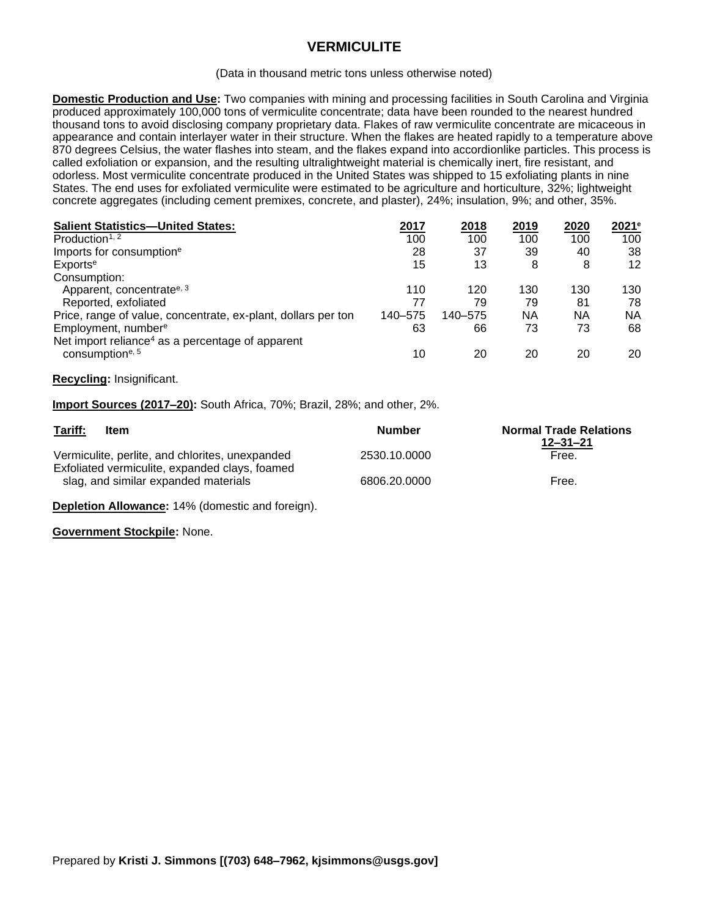# **VERMICULITE**

#### (Data in thousand metric tons unless otherwise noted)

**Domestic Production and Use:** Two companies with mining and processing facilities in South Carolina and Virginia produced approximately 100,000 tons of vermiculite concentrate; data have been rounded to the nearest hundred thousand tons to avoid disclosing company proprietary data. Flakes of raw vermiculite concentrate are micaceous in appearance and contain interlayer water in their structure. When the flakes are heated rapidly to a temperature above 870 degrees Celsius, the water flashes into steam, and the flakes expand into accordionlike particles. This process is called exfoliation or expansion, and the resulting ultralightweight material is chemically inert, fire resistant, and odorless. Most vermiculite concentrate produced in the United States was shipped to 15 exfoliating plants in nine States. The end uses for exfoliated vermiculite were estimated to be agriculture and horticulture, 32%; lightweight concrete aggregates (including cement premixes, concrete, and plaster), 24%; insulation, 9%; and other, 35%.

| <b>Salient Statistics-United States:</b>                      | 2017    | 2018    | 2019 | 2020 | 2021 <sup>e</sup> |
|---------------------------------------------------------------|---------|---------|------|------|-------------------|
| Production <sup>1, 2</sup>                                    | 100     | 100     | 100  | 100  | 100               |
| Imports for consumption <sup>e</sup>                          | 28      | 37      | 39   | 40   | 38                |
| Exports <sup>e</sup>                                          | 15      | 13      | 8    | 8    | 12                |
| Consumption:                                                  |         |         |      |      |                   |
| Apparent, concentrate <sup>e, 3</sup>                         | 110     | 120     | 130  | 130  | 130               |
| Reported, exfoliated                                          | 77      | 79      | 79   | 81   | 78                |
| Price, range of value, concentrate, ex-plant, dollars per ton | 140-575 | 140-575 | ΝA   | ΝA   | NА                |
| Employment, number <sup>e</sup>                               | 63      | 66      | 73   | 73   | 68                |
| Net import reliance <sup>4</sup> as a percentage of apparent  |         |         |      |      |                   |
| consumptione, 5                                               | 10      | 20      | 20   | 20   | 20                |

### **Recycling:** Insignificant.

**Import Sources (2017–20):** South Africa, 70%; Brazil, 28%; and other, 2%.

| Tariff:<br>Item                                                                        | Number       | <b>Normal Trade Relations</b><br>$12 - 31 - 21$ |
|----------------------------------------------------------------------------------------|--------------|-------------------------------------------------|
| Vermiculite, perlite, and chlorites, unexpanded                                        | 2530.10.0000 | Free.                                           |
| Exfoliated vermiculite, expanded clays, foamed<br>slag, and similar expanded materials | 6806.20.0000 | Free.                                           |

**Depletion Allowance:** 14% (domestic and foreign).

**Government Stockpile:** None.